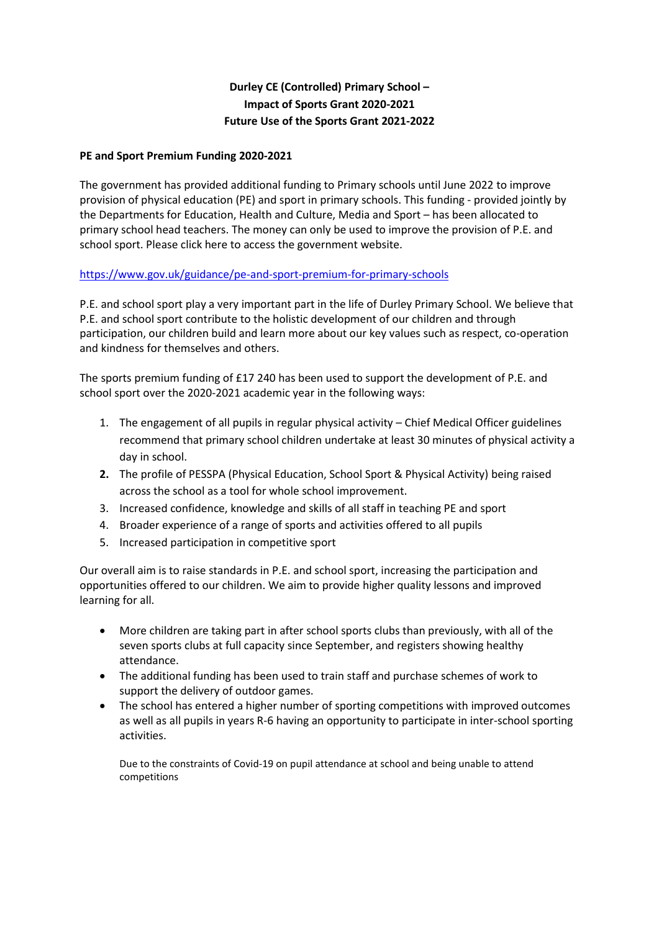## **Durley CE (Controlled) Primary School – Impact of Sports Grant 2020-2021 Future Use of the Sports Grant 2021-2022**

### **PE and Sport Premium Funding 2020-2021**

The government has provided additional funding to Primary schools until June 2022 to improve provision of physical education (PE) and sport in primary schools. This funding - provided jointly by the Departments for Education, Health and Culture, Media and Sport – has been allocated to primary school head teachers. The money can only be used to improve the provision of P.E. and school sport. [Please click here to access the government website.](http://www.education.gov.uk/schools/adminandfinance/financialmanagement/b00222858/primary-school-sport-funding/Primar)

#### <https://www.gov.uk/guidance/pe-and-sport-premium-for-primary-schools>

P.E. and school sport play a very important part in the life of Durley Primary School. We believe that P.E. and school sport contribute to the holistic development of our children and through participation, our children build and learn more about our key values such as respect, co-operation and kindness for themselves and others.

The sports premium funding of £17 240 has been used to support the development of P.E. and school sport over the 2020-2021 academic year in the following ways:

- 1. The engagement of all pupils in regular physical activity Chief Medical Officer guidelines recommend that primary school children undertake at least 30 minutes of physical activity a day in school.
- **2.** The profile of PESSPA (Physical Education, School Sport & Physical Activity) being raised across the school as a tool for whole school improvement.
- 3. Increased confidence, knowledge and skills of all staff in teaching PE and sport
- 4. Broader experience of a range of sports and activities offered to all pupils
- 5. Increased participation in competitive sport

Our overall aim is to raise standards in P.E. and school sport, increasing the participation and opportunities offered to our children. We aim to provide higher quality lessons and improved learning for all.

- More children are taking part in after school sports clubs than previously, with all of the seven sports clubs at full capacity since September, and registers showing healthy attendance.
- The additional funding has been used to train staff and purchase schemes of work to support the delivery of outdoor games.
- The school has entered a higher number of sporting competitions with improved outcomes as well as all pupils in years R-6 having an opportunity to participate in inter-school sporting activities.

Due to the constraints of Covid-19 on pupil attendance at school and being unable to attend competitions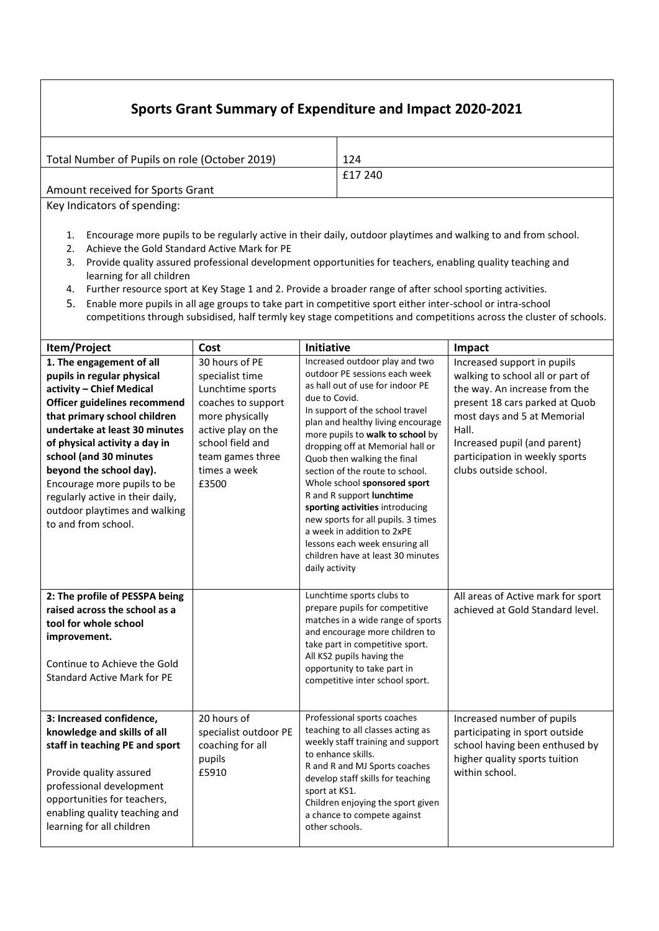# **Sports Grant Summary of Expenditure and Impact 2020-2021**

| 124     |
|---------|
| £17 240 |
|         |
|         |

Key Indicators of spending:

- 1. Encourage more pupils to be regularly active in their daily, outdoor playtimes and walking to and from school.
- 2. Achieve the Gold Standard Active Mark for PE
- 3. Provide quality assured professional development opportunities for teachers, enabling quality teaching and learning for all children
- 4. Further resource sport at Key Stage 1 and 2. Provide a broader range of after school sporting activities.
- 5. Enable more pupils in all age groups to take part in competitive sport either inter-school or intra-school competitions through subsidised, half termly key stage competitions and competitions across the cluster of schools.

| Item/Project                                                                                                                                                                                                                                                                                                                                                                                         | Cost                                                                                                                                                                                  | Initiative                                                                                                                                                                                                                                                                                                                                                                                                                                                                                                                                                                                          | Impact                                                                                                                                                                                                                                                                |  |  |  |  |
|------------------------------------------------------------------------------------------------------------------------------------------------------------------------------------------------------------------------------------------------------------------------------------------------------------------------------------------------------------------------------------------------------|---------------------------------------------------------------------------------------------------------------------------------------------------------------------------------------|-----------------------------------------------------------------------------------------------------------------------------------------------------------------------------------------------------------------------------------------------------------------------------------------------------------------------------------------------------------------------------------------------------------------------------------------------------------------------------------------------------------------------------------------------------------------------------------------------------|-----------------------------------------------------------------------------------------------------------------------------------------------------------------------------------------------------------------------------------------------------------------------|--|--|--|--|
| 1. The engagement of all<br>pupils in regular physical<br>activity - Chief Medical<br>Officer guidelines recommend<br>that primary school children<br>undertake at least 30 minutes<br>of physical activity a day in<br>school (and 30 minutes<br>beyond the school day).<br>Encourage more pupils to be<br>regularly active in their daily,<br>outdoor playtimes and walking<br>to and from school. | 30 hours of PE<br>specialist time<br>Lunchtime sports<br>coaches to support<br>more physically<br>active play on the<br>school field and<br>team games three<br>times a week<br>£3500 | Increased outdoor play and two<br>outdoor PE sessions each week<br>as hall out of use for indoor PE<br>due to Covid.<br>In support of the school travel<br>plan and healthy living encourage<br>more pupils to walk to school by<br>dropping off at Memorial hall or<br>Quob then walking the final<br>section of the route to school.<br>Whole school sponsored sport<br>R and R support lunchtime<br>sporting activities introducing<br>new sports for all pupils. 3 times<br>a week in addition to 2xPE<br>lessons each week ensuring all<br>children have at least 30 minutes<br>daily activity | Increased support in pupils<br>walking to school all or part of<br>the way. An increase from the<br>present 18 cars parked at Quob<br>most days and 5 at Memorial<br>Hall.<br>Increased pupil (and parent)<br>participation in weekly sports<br>clubs outside school. |  |  |  |  |
| 2: The profile of PESSPA being<br>raised across the school as a<br>tool for whole school<br>improvement.<br>Continue to Achieve the Gold<br><b>Standard Active Mark for PE</b>                                                                                                                                                                                                                       |                                                                                                                                                                                       | Lunchtime sports clubs to<br>prepare pupils for competitive<br>matches in a wide range of sports<br>and encourage more children to<br>take part in competitive sport.<br>All KS2 pupils having the<br>opportunity to take part in<br>competitive inter school sport.                                                                                                                                                                                                                                                                                                                                | All areas of Active mark for sport<br>achieved at Gold Standard level.                                                                                                                                                                                                |  |  |  |  |
| 3: Increased confidence,<br>knowledge and skills of all<br>staff in teaching PE and sport<br>Provide quality assured<br>professional development<br>opportunities for teachers,<br>enabling quality teaching and<br>learning for all children                                                                                                                                                        | 20 hours of<br>specialist outdoor PE<br>coaching for all<br>pupils<br>£5910                                                                                                           | Professional sports coaches<br>teaching to all classes acting as<br>weekly staff training and support<br>to enhance skills.<br>R and R and MJ Sports coaches<br>develop staff skills for teaching<br>sport at KS1.<br>Children enjoying the sport given<br>a chance to compete against<br>other schools.                                                                                                                                                                                                                                                                                            | Increased number of pupils<br>participating in sport outside<br>school having been enthused by<br>higher quality sports tuition<br>within school.                                                                                                                     |  |  |  |  |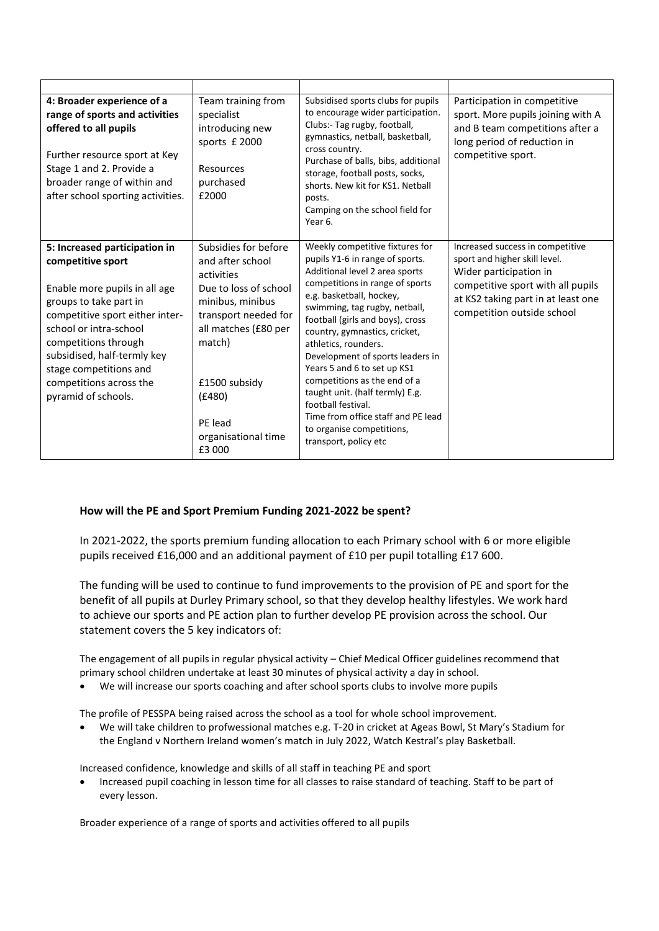| 4: Broader experience of a<br>range of sports and activities<br>offered to all pupils<br>Further resource sport at Key<br>Stage 1 and 2. Provide a<br>broader range of within and<br>after school sporting activities.                                                                                        | Team training from<br>specialist<br>introducing new<br>sports £ 2000<br>Resources<br>purchased<br>£2000                                                                                                                              | Subsidised sports clubs for pupils<br>to encourage wider participation.<br>Clubs:- Tag rugby, football,<br>gymnastics, netball, basketball,<br>cross country.<br>Purchase of balls, bibs, additional<br>storage, football posts, socks,<br>shorts. New kit for KS1. Netball<br>posts.<br>Camping on the school field for<br>Year 6.                                                                                                                                                                                                                       | Participation in competitive<br>sport. More pupils joining with A<br>and B team competitions after a<br>long period of reduction in<br>competitive sport.                                            |
|---------------------------------------------------------------------------------------------------------------------------------------------------------------------------------------------------------------------------------------------------------------------------------------------------------------|--------------------------------------------------------------------------------------------------------------------------------------------------------------------------------------------------------------------------------------|-----------------------------------------------------------------------------------------------------------------------------------------------------------------------------------------------------------------------------------------------------------------------------------------------------------------------------------------------------------------------------------------------------------------------------------------------------------------------------------------------------------------------------------------------------------|------------------------------------------------------------------------------------------------------------------------------------------------------------------------------------------------------|
| 5: Increased participation in<br>competitive sport<br>Enable more pupils in all age<br>groups to take part in<br>competitive sport either inter-<br>school or intra-school<br>competitions through<br>subsidised, half-termly key<br>stage competitions and<br>competitions across the<br>pyramid of schools. | Subsidies for before<br>and after school<br>activities<br>Due to loss of school<br>minibus, minibus<br>transport needed for<br>all matches (£80 per<br>match)<br>£1500 subsidy<br>(E480)<br>PE lead<br>organisational time<br>£3 000 | Weekly competitive fixtures for<br>pupils Y1-6 in range of sports.<br>Additional level 2 area sports<br>competitions in range of sports<br>e.g. basketball, hockey,<br>swimming, tag rugby, netball,<br>football (girls and boys), cross<br>country, gymnastics, cricket,<br>athletics, rounders.<br>Development of sports leaders in<br>Years 5 and 6 to set up KS1<br>competitions as the end of a<br>taught unit. (half termly) E.g.<br>football festival.<br>Time from office staff and PE lead<br>to organise competitions,<br>transport, policy etc | Increased success in competitive<br>sport and higher skill level.<br>Wider participation in<br>competitive sport with all pupils<br>at KS2 taking part in at least one<br>competition outside school |

### **How will the PE and Sport Premium Funding 2021-2022 be spent?**

In 2021-2022, the sports premium funding allocation to each Primary school with 6 or more eligible pupils received £16,000 and an additional payment of £10 per pupil totalling £17 600.

The funding will be used to continue to fund improvements to the provision of PE and sport for the benefit of all pupils at Durley Primary school, so that they develop healthy lifestyles. We work hard to achieve our sports and PE action plan to further develop PE provision across the school. Our statement covers the 5 key indicators of:

The engagement of all pupils in regular physical activity – Chief Medical Officer guidelines recommend that primary school children undertake at least 30 minutes of physical activity a day in school.

We will increase our sports coaching and after school sports clubs to involve more pupils

The profile of PESSPA being raised across the school as a tool for whole school improvement.

 We will take children to profwessional matches e.g. T-20 in cricket at Ageas Bowl, St Mary's Stadium for the England v Northern Ireland women's match in July 2022, Watch Kestral's play Basketball.

Increased confidence, knowledge and skills of all staff in teaching PE and sport

 Increased pupil coaching in lesson time for all classes to raise standard of teaching. Staff to be part of every lesson.

Broader experience of a range of sports and activities offered to all pupils